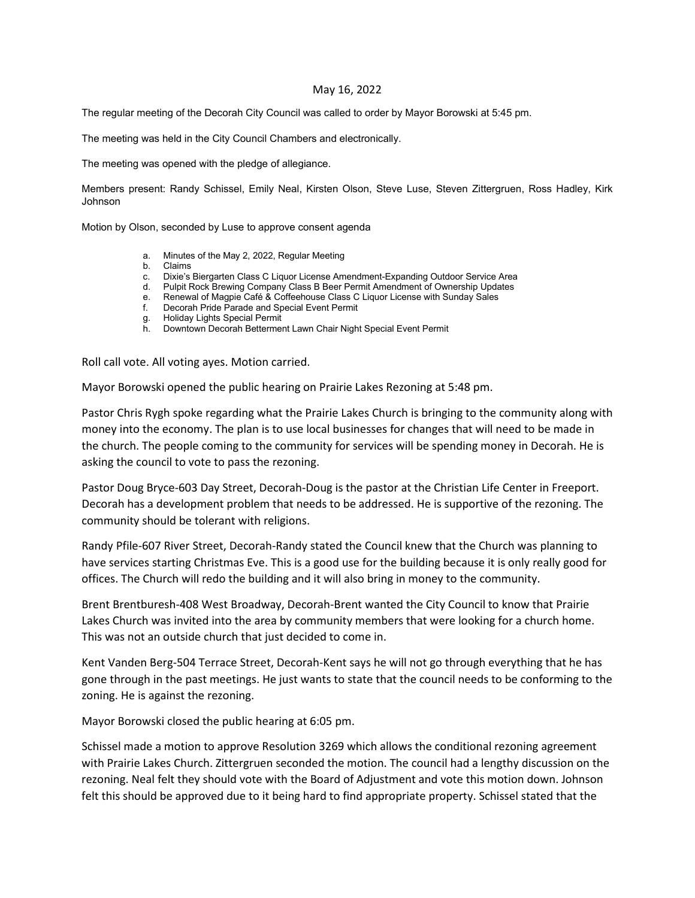## May 16, 2022

The regular meeting of the Decorah City Council was called to order by Mayor Borowski at 5:45 pm.

The meeting was held in the City Council Chambers and electronically.

The meeting was opened with the pledge of allegiance.

Members present: Randy Schissel, Emily Neal, Kirsten Olson, Steve Luse, Steven Zittergruen, Ross Hadley, Kirk Johnson

Motion by Olson, seconded by Luse to approve consent agenda

- a. Minutes of the May 2, 2022, Regular Meeting
- b. Claims
- c. Dixie's Biergarten Class C Liquor License Amendment-Expanding Outdoor Service Area
- d. Pulpit Rock Brewing Company Class B Beer Permit Amendment of Ownership Updates
- e. Renewal of Magpie Café & Coffeehouse Class C Liquor License with Sunday Sales
- f. Decorah Pride Parade and Special Event Permit
- g. Holiday Lights Special Permit
- h. Downtown Decorah Betterment Lawn Chair Night Special Event Permit

Roll call vote. All voting ayes. Motion carried.

Mayor Borowski opened the public hearing on Prairie Lakes Rezoning at 5:48 pm.

Pastor Chris Rygh spoke regarding what the Prairie Lakes Church is bringing to the community along with money into the economy. The plan is to use local businesses for changes that will need to be made in the church. The people coming to the community for services will be spending money in Decorah. He is asking the council to vote to pass the rezoning.

Pastor Doug Bryce-603 Day Street, Decorah-Doug is the pastor at the Christian Life Center in Freeport. Decorah has a development problem that needs to be addressed. He is supportive of the rezoning. The community should be tolerant with religions.

Randy Pfile-607 River Street, Decorah-Randy stated the Council knew that the Church was planning to have services starting Christmas Eve. This is a good use for the building because it is only really good for offices. The Church will redo the building and it will also bring in money to the community.

Brent Brentburesh-408 West Broadway, Decorah-Brent wanted the City Council to know that Prairie Lakes Church was invited into the area by community members that were looking for a church home. This was not an outside church that just decided to come in.

Kent Vanden Berg-504 Terrace Street, Decorah-Kent says he will not go through everything that he has gone through in the past meetings. He just wants to state that the council needs to be conforming to the zoning. He is against the rezoning.

Mayor Borowski closed the public hearing at 6:05 pm.

Schissel made a motion to approve Resolution 3269 which allows the conditional rezoning agreement with Prairie Lakes Church. Zittergruen seconded the motion. The council had a lengthy discussion on the rezoning. Neal felt they should vote with the Board of Adjustment and vote this motion down. Johnson felt this should be approved due to it being hard to find appropriate property. Schissel stated that the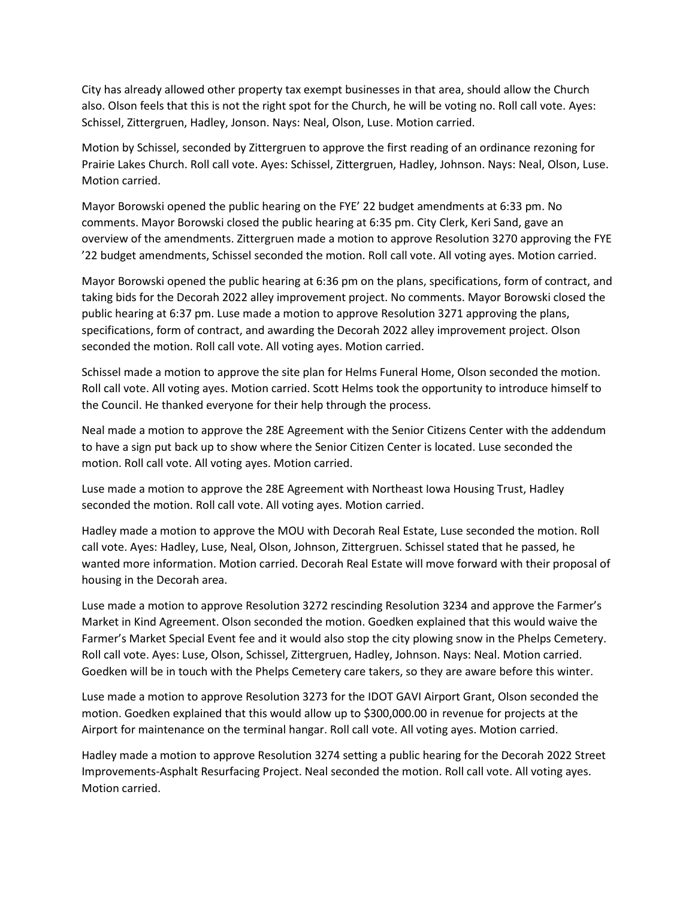City has already allowed other property tax exempt businesses in that area, should allow the Church also. Olson feels that this is not the right spot for the Church, he will be voting no. Roll call vote. Ayes: Schissel, Zittergruen, Hadley, Jonson. Nays: Neal, Olson, Luse. Motion carried.

Motion by Schissel, seconded by Zittergruen to approve the first reading of an ordinance rezoning for Prairie Lakes Church. Roll call vote. Ayes: Schissel, Zittergruen, Hadley, Johnson. Nays: Neal, Olson, Luse. Motion carried.

Mayor Borowski opened the public hearing on the FYE' 22 budget amendments at 6:33 pm. No comments. Mayor Borowski closed the public hearing at 6:35 pm. City Clerk, Keri Sand, gave an overview of the amendments. Zittergruen made a motion to approve Resolution 3270 approving the FYE '22 budget amendments, Schissel seconded the motion. Roll call vote. All voting ayes. Motion carried.

Mayor Borowski opened the public hearing at 6:36 pm on the plans, specifications, form of contract, and taking bids for the Decorah 2022 alley improvement project. No comments. Mayor Borowski closed the public hearing at 6:37 pm. Luse made a motion to approve Resolution 3271 approving the plans, specifications, form of contract, and awarding the Decorah 2022 alley improvement project. Olson seconded the motion. Roll call vote. All voting ayes. Motion carried.

Schissel made a motion to approve the site plan for Helms Funeral Home, Olson seconded the motion. Roll call vote. All voting ayes. Motion carried. Scott Helms took the opportunity to introduce himself to the Council. He thanked everyone for their help through the process.

Neal made a motion to approve the 28E Agreement with the Senior Citizens Center with the addendum to have a sign put back up to show where the Senior Citizen Center is located. Luse seconded the motion. Roll call vote. All voting ayes. Motion carried.

Luse made a motion to approve the 28E Agreement with Northeast Iowa Housing Trust, Hadley seconded the motion. Roll call vote. All voting ayes. Motion carried.

Hadley made a motion to approve the MOU with Decorah Real Estate, Luse seconded the motion. Roll call vote. Ayes: Hadley, Luse, Neal, Olson, Johnson, Zittergruen. Schissel stated that he passed, he wanted more information. Motion carried. Decorah Real Estate will move forward with their proposal of housing in the Decorah area.

Luse made a motion to approve Resolution 3272 rescinding Resolution 3234 and approve the Farmer's Market in Kind Agreement. Olson seconded the motion. Goedken explained that this would waive the Farmer's Market Special Event fee and it would also stop the city plowing snow in the Phelps Cemetery. Roll call vote. Ayes: Luse, Olson, Schissel, Zittergruen, Hadley, Johnson. Nays: Neal. Motion carried. Goedken will be in touch with the Phelps Cemetery care takers, so they are aware before this winter.

Luse made a motion to approve Resolution 3273 for the IDOT GAVI Airport Grant, Olson seconded the motion. Goedken explained that this would allow up to \$300,000.00 in revenue for projects at the Airport for maintenance on the terminal hangar. Roll call vote. All voting ayes. Motion carried.

Hadley made a motion to approve Resolution 3274 setting a public hearing for the Decorah 2022 Street Improvements-Asphalt Resurfacing Project. Neal seconded the motion. Roll call vote. All voting ayes. Motion carried.